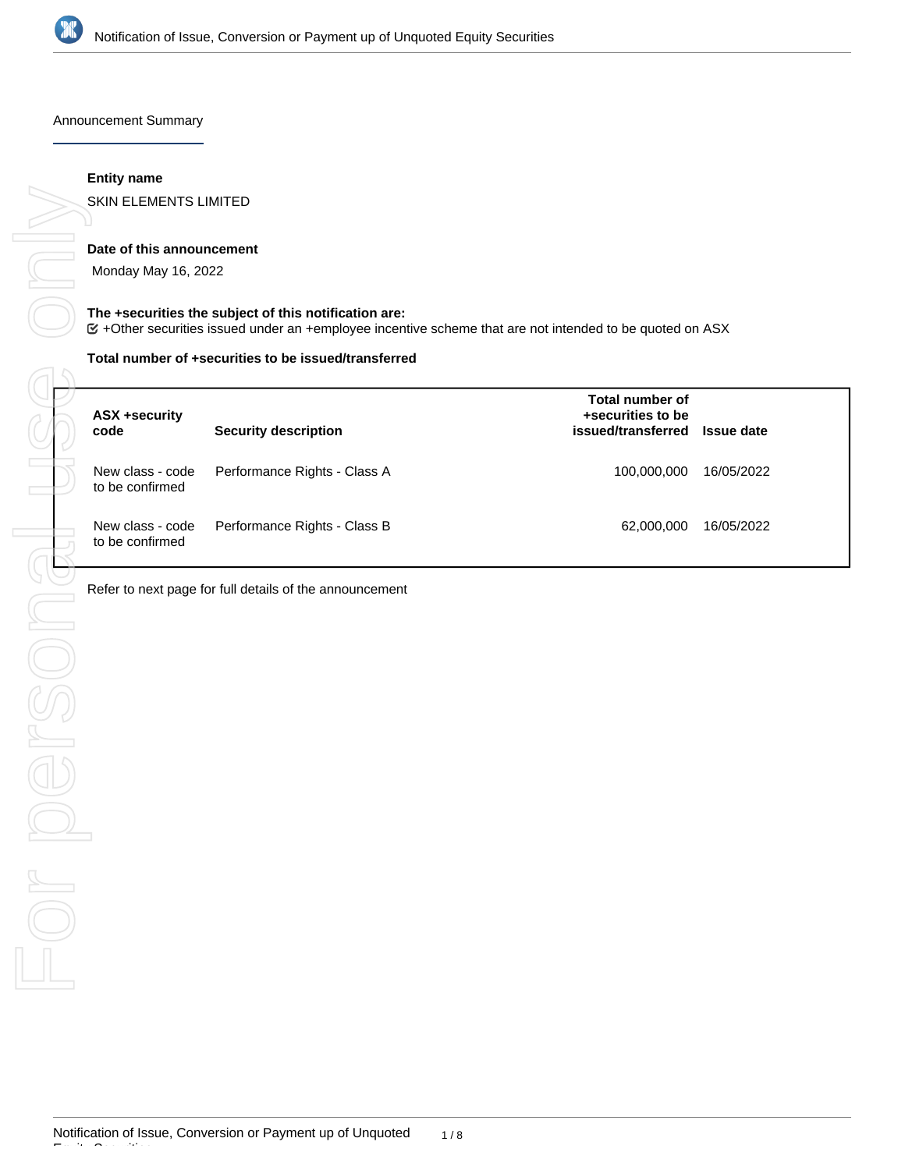

Announcement Summary

#### **Entity name**

SKIN ELEMENTS LIMITED

#### **Date of this announcement**

Monday May 16, 2022

#### **The +securities the subject of this notification are:**

+Other securities issued under an +employee incentive scheme that are not intended to be quoted on ASX

#### **Total number of +securities to be issued/transferred**

|                                  | <b>ASX +security</b><br>code        | <b>Security description</b>                             | Total number of<br>+securities to be<br>issued/transferred | <b>Issue date</b> |
|----------------------------------|-------------------------------------|---------------------------------------------------------|------------------------------------------------------------|-------------------|
|                                  | New class - code<br>to be confirmed | Performance Rights - Class A                            | 100,000,000                                                | 16/05/2022        |
|                                  | New class - code<br>to be confirmed | Performance Rights - Class B                            | 62,000,000                                                 | 16/05/2022        |
|                                  |                                     | Refer to next page for full details of the announcement |                                                            |                   |
|                                  |                                     |                                                         |                                                            |                   |
|                                  |                                     |                                                         |                                                            |                   |
|                                  |                                     |                                                         |                                                            |                   |
|                                  |                                     |                                                         |                                                            |                   |
| $\frac{1}{\sqrt{1-\frac{1}{2}}}$ |                                     |                                                         |                                                            |                   |
|                                  |                                     |                                                         |                                                            |                   |
|                                  |                                     |                                                         |                                                            |                   |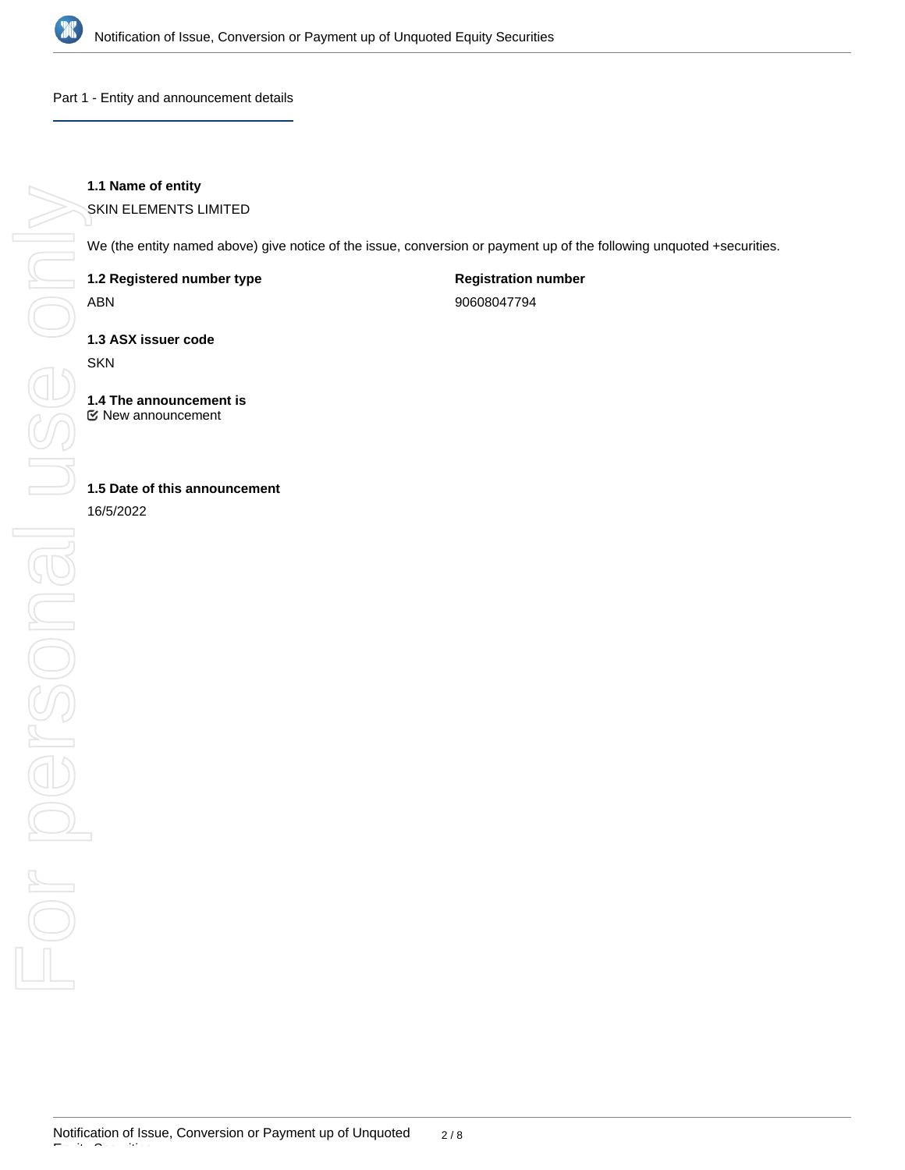

Part 1 - Entity and announcement details

# **1.1 Name of entity**

SKIN ELEMENTS LIMITED

We (the entity named above) give notice of the issue, conversion or payment up of the following unquoted +securities.

**1.2 Registered number type**

ABN

**Registration number**

90608047794

**1.3 ASX issuer code**

SKN

**1.4 The announcement is** New announcement

**1.5 Date of this announcement**

16/5/2022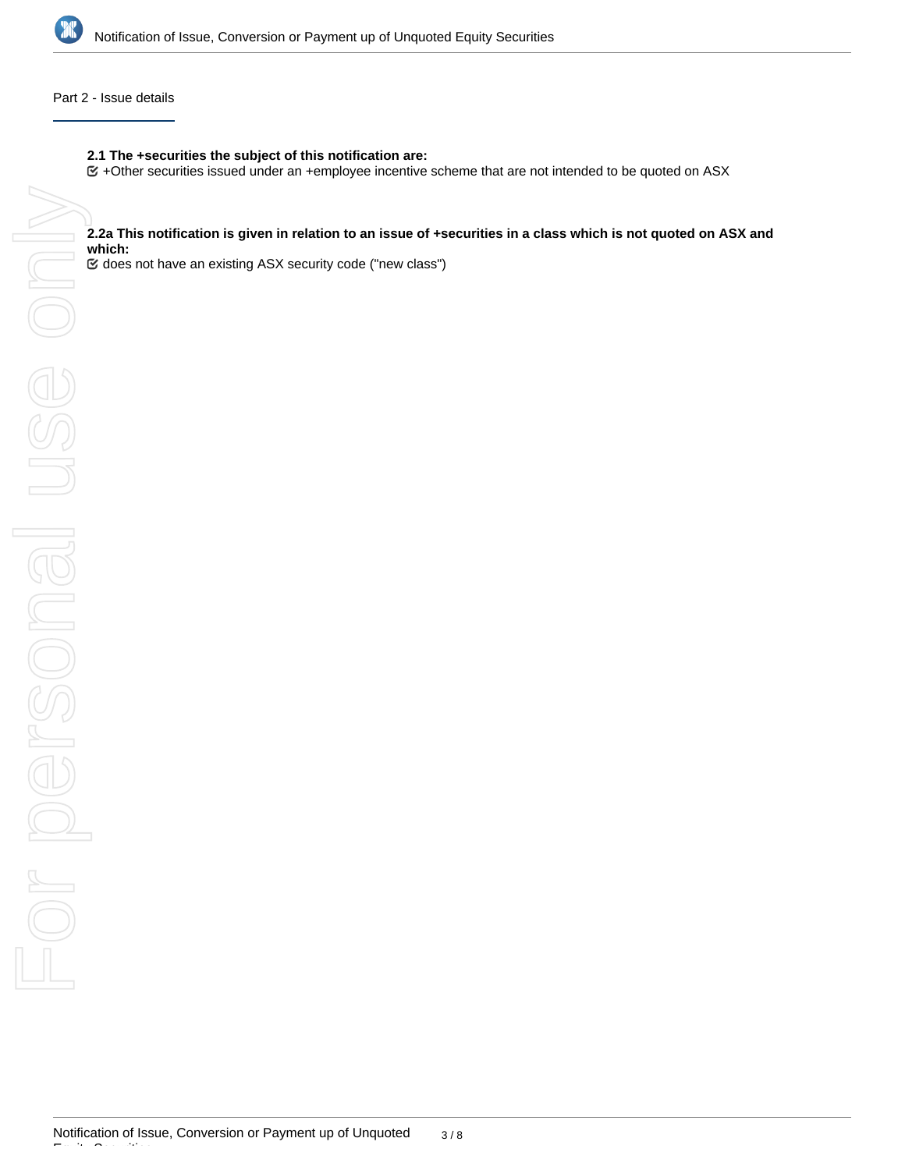

#### Part 2 - Issue details

### **2.1 The +securities the subject of this notification are:**

 $G$  +Other securities issued under an +employee incentive scheme that are not intended to be quoted on ASX

# **which:**

does not have an existing ASX security code ("new class")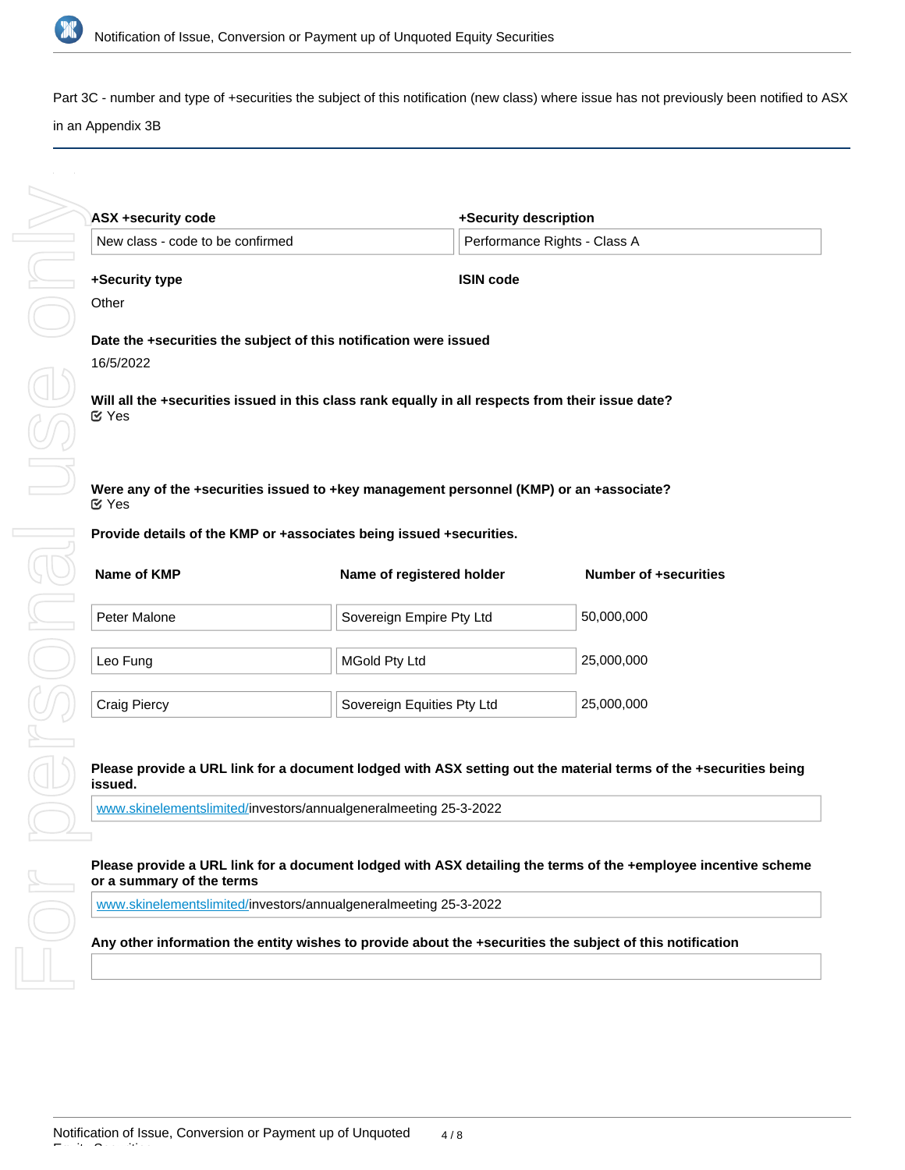

Part 3C - number and type of +securities the subject of this notification (new class) where issue has not previously been notified to ASX in an Appendix 3B

| <b>ASX +security code</b>        | +Security description                                                                             |                              |
|----------------------------------|---------------------------------------------------------------------------------------------------|------------------------------|
| New class - code to be confirmed |                                                                                                   | Performance Rights - Class A |
| +Security type                   | <b>ISIN code</b>                                                                                  |                              |
| Other                            |                                                                                                   |                              |
| 16/5/2022                        | Date the +securities the subject of this notification were issued                                 |                              |
| $\mathfrak{C}$ Yes               | Will all the +securities issued in this class rank equally in all respects from their issue date? |                              |
|                                  |                                                                                                   |                              |
| $\mathfrak{C}$ Yes               | Were any of the +securities issued to +key management personnel (KMP) or an +associate?           |                              |
|                                  | Provide details of the KMP or +associates being issued +securities.                               |                              |
| Name of KMP                      | Name of registered holder                                                                         | <b>Number of +securities</b> |
| Peter Malone                     | Sovereign Empire Pty Ltd                                                                          | 50,000,000                   |

| Leo Fung     | MGold Pty Ltd                           | 25,000,000 |
|--------------|-----------------------------------------|------------|
| Craig Piercy | <sup>'</sup> Sovereign Equities Pty Ltd | 25,000,000 |

#### **Please provide a URL link for a document lodged with ASX setting out the material terms of the +securities being issued.**

[www.skinelementslimited/](http://www.skinelementslimited/)investors/annualgeneralmeeting 25-3-2022

#### **Please provide a URL link for a document lodged with ASX detailing the terms of the +employee incentive scheme or a summary of the terms**

[www.skinelementslimited/](http://www.skinelementslimited/)investors/annualgeneralmeeting 25-3-2022

#### **Any other information the entity wishes to provide about the +securities the subject of this notification**

Equity Securities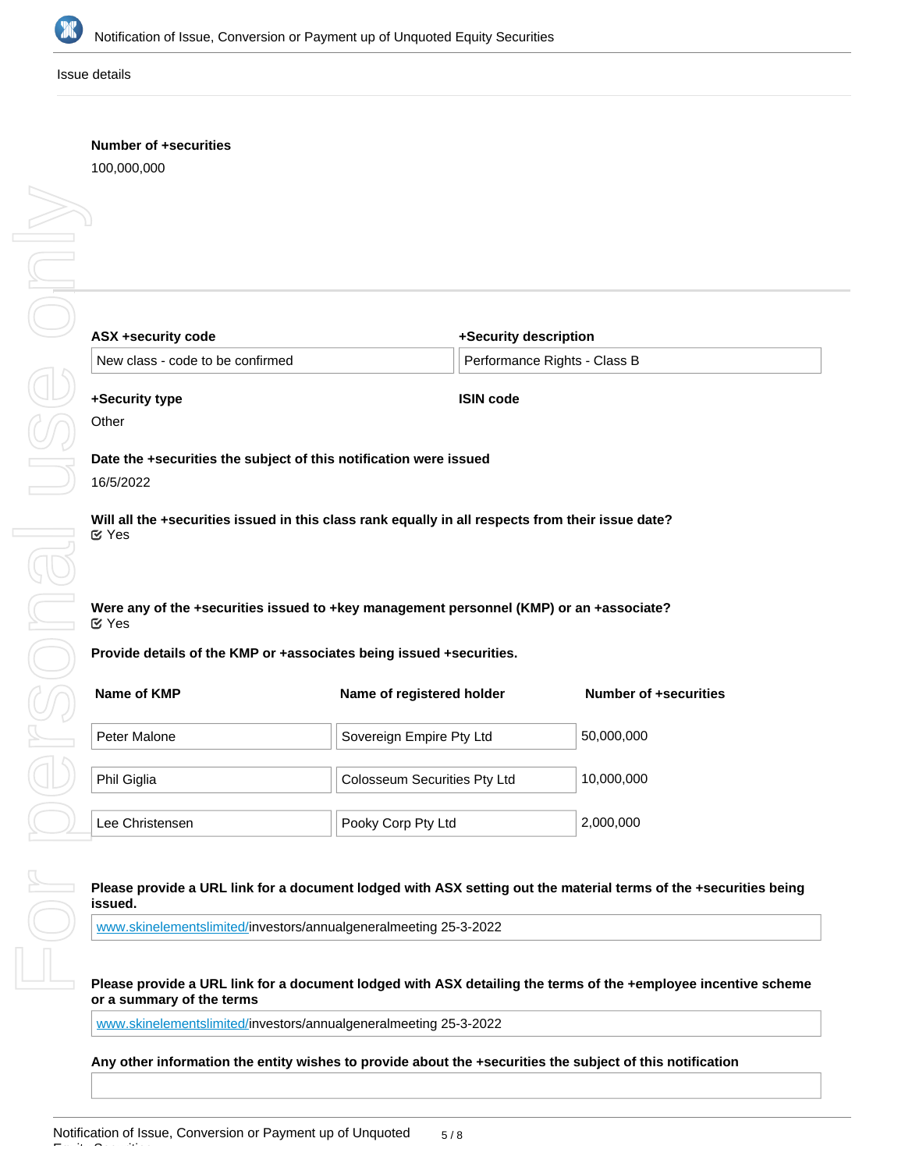

Issue details

# **Number of +securities**

100,000,000

| ASX +security code                                     |
|--------------------------------------------------------|
| New class - code to be con                             |
| +Security type<br>Other                                |
|                                                        |
| Date the +securities the su<br>16/5/2022               |
| Will all the +securities issu<br>M Yes                 |
|                                                        |
| Were any of the +securitie<br><b>MYes</b>              |
| <b>Provide details of the KMP</b>                      |
| Name of KMP                                            |
| Peter Malone                                           |
| Phil Giglia                                            |
| Lee Christensen                                        |
| Please provide a URL link                              |
| issued.                                                |
| www.skinelementslimited/in                             |
| Please provide a URL link<br>or a summary of the terms |
|                                                        |

| ASX +security code               | +Security description                                                                   |                              |
|----------------------------------|-----------------------------------------------------------------------------------------|------------------------------|
| New class - code to be confirmed |                                                                                         | Performance Rights - Class B |
| +Security type                   | <b>ISIN code</b>                                                                        |                              |
| Other                            |                                                                                         |                              |
|                                  | Date the +securities the subject of this notification were issued                       |                              |
| 16/5/2022                        |                                                                                         |                              |
| ඦ Yes                            | Were any of the +securities issued to +key management personnel (KMP) or an +associate? |                              |
|                                  | Provide details of the KMP or +associates being issued +securities.                     |                              |
| Name of KMP                      | Name of registered holder                                                               | <b>Number of +securities</b> |
| Peter Malone                     | Sovereign Empire Pty Ltd                                                                | 50,000,000                   |
| Phil Giglia                      | Colosseum Securities Pty Ltd                                                            | 10,000,000                   |
|                                  |                                                                                         |                              |
|                                  |                                                                                         |                              |

for a document lodged with ASX setting out the material terms of the +securities being

Pooky Corp Pty Ltd 2,000,000

westors/annualgeneralmeeting 25-3-2022

for a document lodged with ASX detailing the terms of the +employee incentive scheme **or a summary of the terms**

[www.skinelementslimited/](http://www.skinelementslimited/)investors/annualgeneralmeeting 25-3-2022

**Any other information the entity wishes to provide about the +securities the subject of this notification**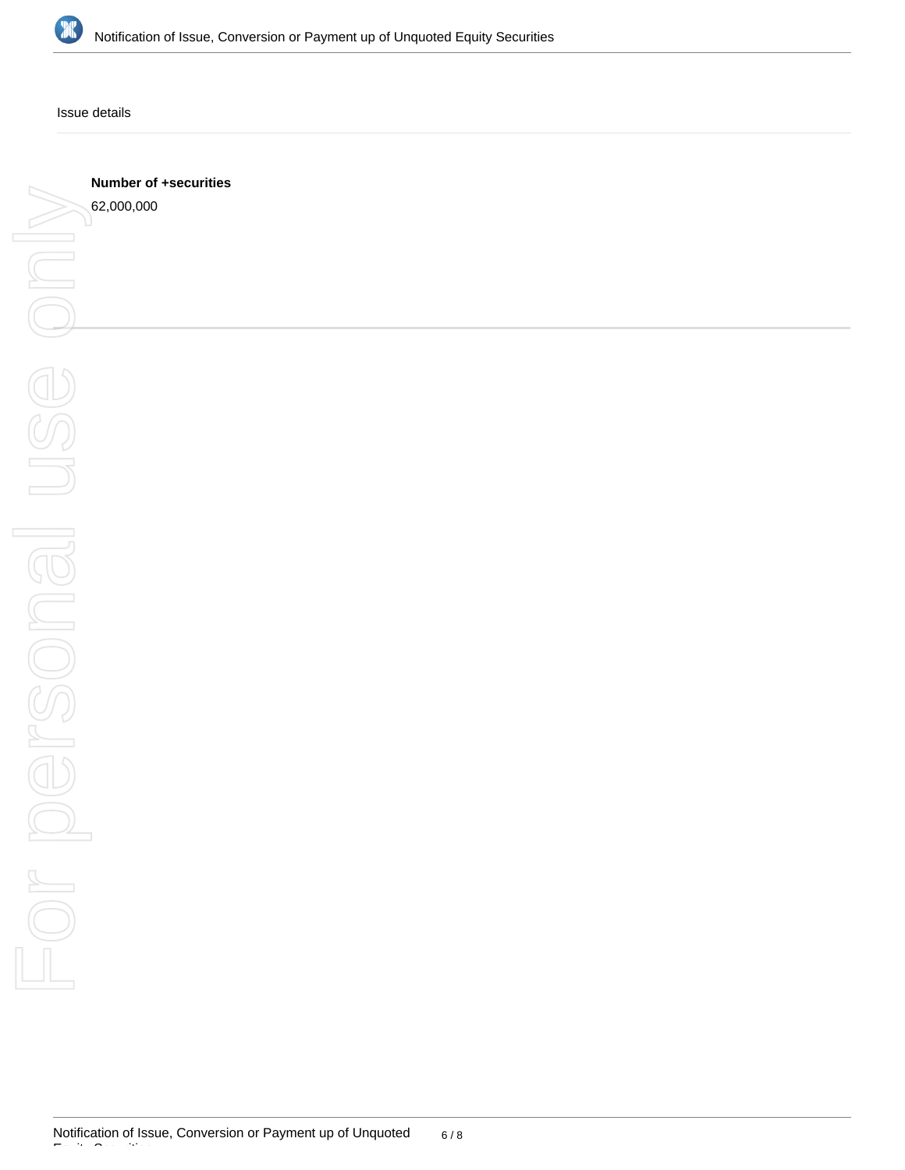

Issue details

**Number of +securities**

62,000,000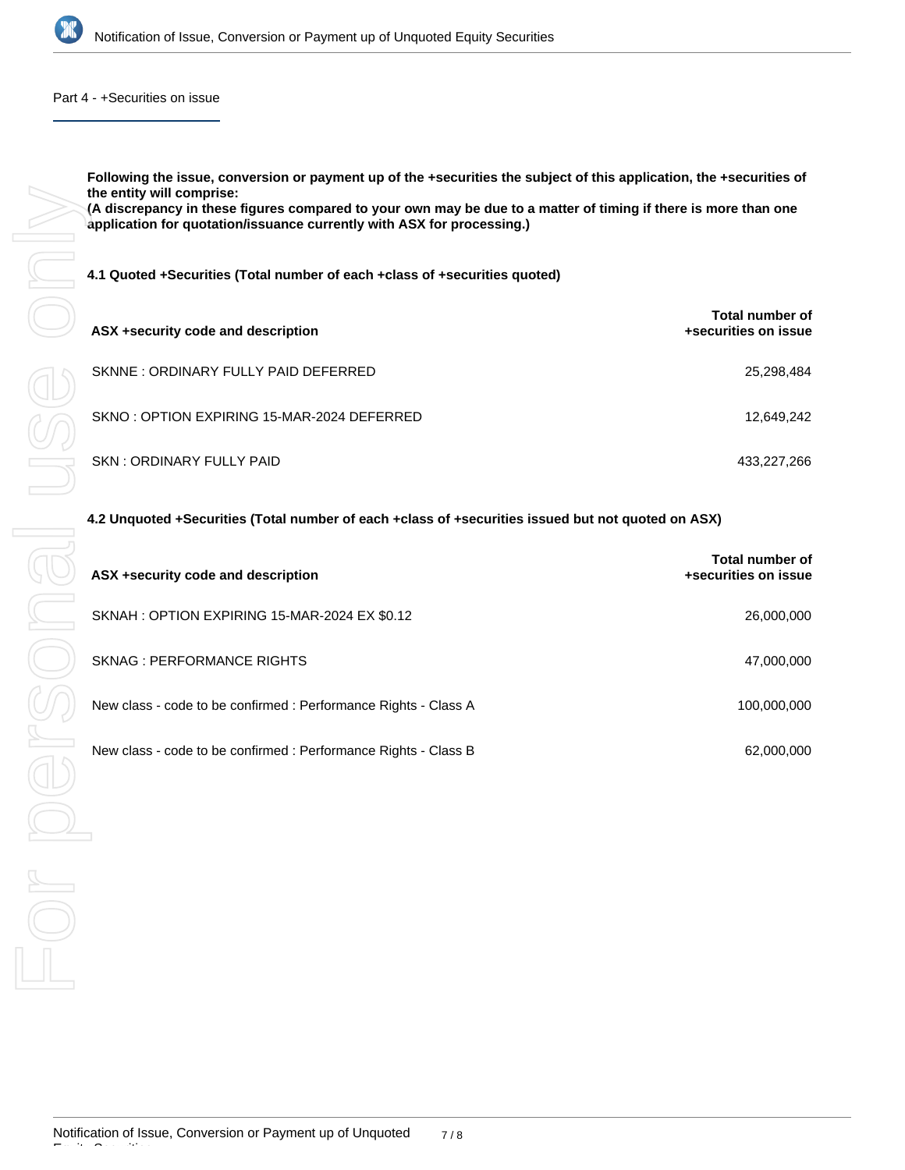

#### Part 4 - +Securities on issue

**Following the issue, conversion or payment up of the +securities the subject of this application, the +securities of the entity will comprise:**

**(A discrepancy in these figures compared to your own may be due to a matter of timing if there is more than one application for quotation/issuance currently with ASX for processing.)**

| ASX +security code and description         | Total number of<br>+securities on issue |
|--------------------------------------------|-----------------------------------------|
| SKNNE: ORDINARY FULLY PAID DEFERRED        | 25,298,484                              |
| SKNO: OPTION EXPIRING 15-MAR-2024 DEFERRED | 12,649,242                              |
| SKN: ORDINARY FULLY PAID                   | 433,227,266                             |

#### **4.2 Unquoted +Securities (Total number of each +class of +securities issued but not quoted on ASX)**

| 4.1 Quoted +Securities (Total number of each +class of +securities quoted)                         |                                                |
|----------------------------------------------------------------------------------------------------|------------------------------------------------|
| ASX +security code and description                                                                 | Total number of<br>+securities on issue        |
| SKNNE: ORDINARY FULLY PAID DEFERRED                                                                | 25,298,484                                     |
| SKNO: OPTION EXPIRING 15-MAR-2024 DEFERRED                                                         | 12,649,242                                     |
| SKN: ORDINARY FULLY PAID                                                                           | 433,227,266                                    |
| 4.2 Unquoted +Securities (Total number of each +class of +securities issued but not quoted on ASX) |                                                |
| ASX +security code and description                                                                 | <b>Total number of</b><br>+securities on issue |
| SKNAH: OPTION EXPIRING 15-MAR-2024 EX \$0.12                                                       | 26,000,000                                     |
| <b>SKNAG: PERFORMANCE RIGHTS</b>                                                                   | 47,000,000                                     |
| New class - code to be confirmed : Performance Rights - Class A                                    | 100,000,000                                    |
| New class - code to be confirmed : Performance Rights - Class B                                    | 62,000,000                                     |
|                                                                                                    |                                                |
|                                                                                                    |                                                |
|                                                                                                    |                                                |

Equity Securities